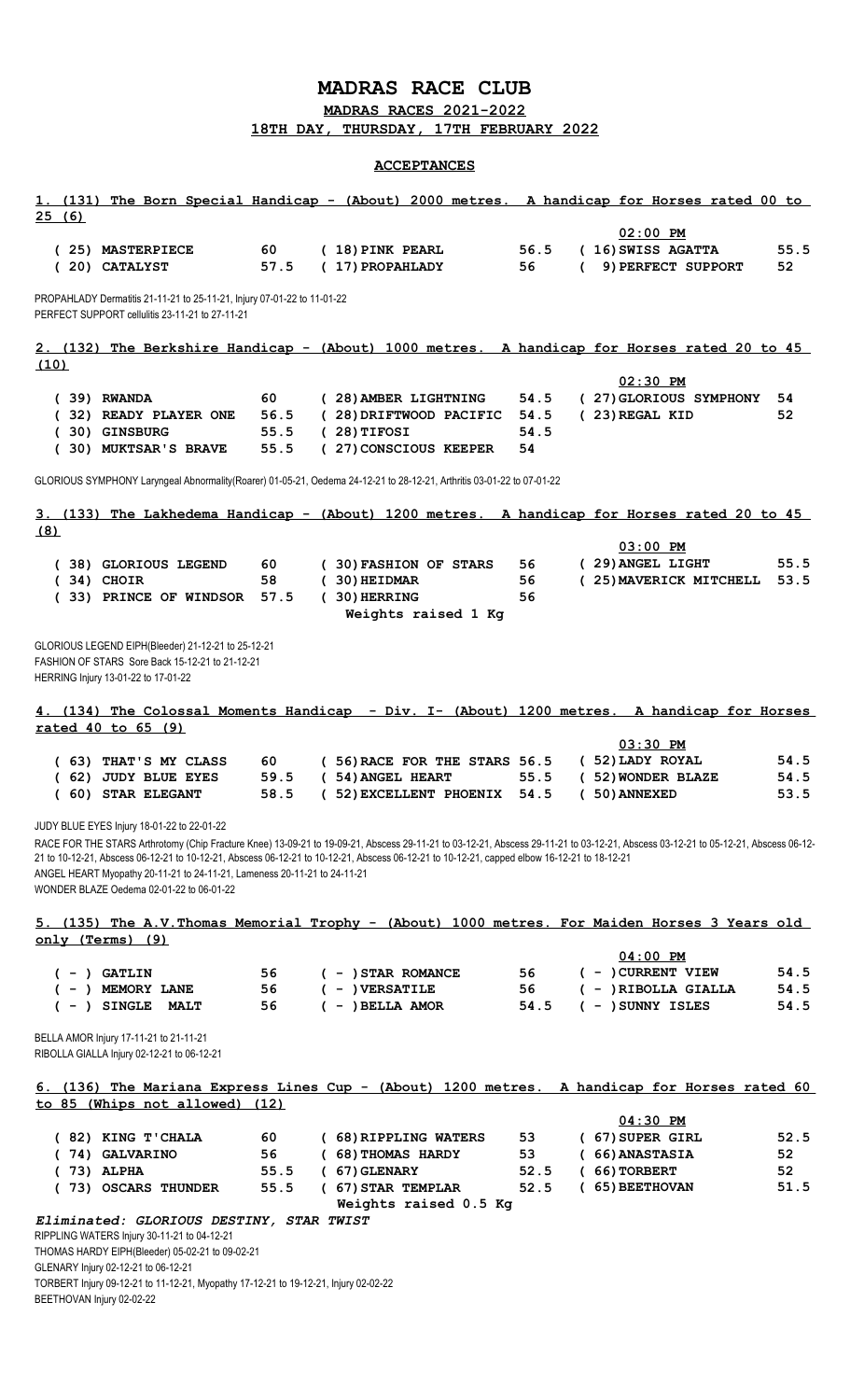## **MADRAS RACE CLUB**

**MADRAS RACES 2021-2022 18TH DAY, THURSDAY, 17TH FEBRUARY 2022**

## **ACCEPTANCES**

| 1. (131) The Born Special Handicap - (About) 2000 metres. A handicap for Horses rated 00 to<br>25(6)                                                                                                                                                                                                                                                                                                                                                                                                   |            |                                    |            |                                                                     |                 |
|--------------------------------------------------------------------------------------------------------------------------------------------------------------------------------------------------------------------------------------------------------------------------------------------------------------------------------------------------------------------------------------------------------------------------------------------------------------------------------------------------------|------------|------------------------------------|------------|---------------------------------------------------------------------|-----------------|
| (25) MASTERPIECE<br>(20) CATALYST                                                                                                                                                                                                                                                                                                                                                                                                                                                                      | 60<br>57.5 | (18) PINK PEARL<br>(17) PROPAHLADY | 56.5<br>56 | $02:00$ PM<br>(16) SWISS AGATTA<br>9) PERFECT SUPPORT<br>$\epsilon$ | 55.5<br>52      |
| PROPAHLADY Dermatitis 21-11-21 to 25-11-21, Injury 07-01-22 to 11-01-22<br>PERFECT SUPPORT cellulitis 23-11-21 to 27-11-21                                                                                                                                                                                                                                                                                                                                                                             |            |                                    |            |                                                                     |                 |
| 2. (132) The Berkshire Handicap - (About) 1000 metres. A handicap for Horses rated 20 to 45<br>(10)                                                                                                                                                                                                                                                                                                                                                                                                    |            |                                    |            |                                                                     |                 |
| $(39)$ RWANDA                                                                                                                                                                                                                                                                                                                                                                                                                                                                                          | 60         | (28) AMBER LIGHTNING               | 54.5       | $02:30$ PM<br>(27) GLORIOUS SYMPHONY                                | 54              |
| (32) READY PLAYER ONE                                                                                                                                                                                                                                                                                                                                                                                                                                                                                  | 56.5       | (28) DRIFTWOOD PACIFIC             | 54.5       | (23) REGAL KID                                                      | 52              |
| (30) GINSBURG                                                                                                                                                                                                                                                                                                                                                                                                                                                                                          | 55.5       | $(28)$ TIFOSI                      | 54.5       |                                                                     |                 |
| (30) MUKTSAR'S BRAVE                                                                                                                                                                                                                                                                                                                                                                                                                                                                                   | 55.5       | (27) CONSCIOUS KEEPER              | 54         |                                                                     |                 |
| GLORIOUS SYMPHONY Laryngeal Abnormality(Roarer) 01-05-21, Oedema 24-12-21 to 28-12-21, Arthritis 03-01-22 to 07-01-22                                                                                                                                                                                                                                                                                                                                                                                  |            |                                    |            |                                                                     |                 |
| 3. (133) The Lakhedema Handicap - (About) 1200 metres. A handicap for Horses rated 20 to 45                                                                                                                                                                                                                                                                                                                                                                                                            |            |                                    |            |                                                                     |                 |
| (8)                                                                                                                                                                                                                                                                                                                                                                                                                                                                                                    |            |                                    |            |                                                                     |                 |
| (38) GLORIOUS LEGEND                                                                                                                                                                                                                                                                                                                                                                                                                                                                                   | 60         | (30) FASHION OF STARS              | 56         | $03:00$ PM<br>(29) ANGEL LIGHT                                      | 55.5            |
| $(34)$ CHOIR                                                                                                                                                                                                                                                                                                                                                                                                                                                                                           | 58         | $(30)$ HEIDMAR                     | 56         | (25) MAVERICK MITCHELL                                              | 53.5            |
| (33) PRINCE OF WINDSOR                                                                                                                                                                                                                                                                                                                                                                                                                                                                                 | 57.5       | $(30)$ HERRING                     | 56         |                                                                     |                 |
|                                                                                                                                                                                                                                                                                                                                                                                                                                                                                                        |            | Weights raised 1 Kg                |            |                                                                     |                 |
|                                                                                                                                                                                                                                                                                                                                                                                                                                                                                                        |            |                                    |            |                                                                     |                 |
| GLORIOUS LEGEND EIPH(Bleeder) 21-12-21 to 25-12-21<br>FASHION OF STARS Sore Back 15-12-21 to 21-12-21<br>HERRING Injury 13-01-22 to 17-01-22                                                                                                                                                                                                                                                                                                                                                           |            |                                    |            |                                                                     |                 |
| 4. (134) The Colossal Moments Handicap - Div. I- (About) 1200 metres. A handicap for Horses                                                                                                                                                                                                                                                                                                                                                                                                            |            |                                    |            |                                                                     |                 |
| rated 40 to 65 (9)                                                                                                                                                                                                                                                                                                                                                                                                                                                                                     |            |                                    |            |                                                                     |                 |
|                                                                                                                                                                                                                                                                                                                                                                                                                                                                                                        |            |                                    |            | $03:30$ PM                                                          |                 |
| (63) THAT'S MY CLASS                                                                                                                                                                                                                                                                                                                                                                                                                                                                                   | 60         | (56) RACE FOR THE STARS 56.5       |            | (52) LADY ROYAL                                                     | 54.5            |
| (62) JUDY BLUE EYES                                                                                                                                                                                                                                                                                                                                                                                                                                                                                    | 59.5       | ( 54) ANGEL HEART                  | 55.5       | (52) WONDER BLAZE                                                   | 54.5            |
| (60) STAR ELEGANT                                                                                                                                                                                                                                                                                                                                                                                                                                                                                      | 58.5       | ( 52) EXCELLENT PHOENIX            | 54.5       | (50) ANNEXED                                                        | 53.5            |
| JUDY BLUE EYES Injury 18-01-22 to 22-01-22<br>RACE FOR THE STARS Arthrotomy (Chip Fracture Knee) 13-09-21 to 19-09-21, Abscess 29-11-21 to 03-12-21, Abscess 29-11-21 to 03-12-21, Abscess 03-12-21 to 05-12-21, Abscess 06-12-<br>21 to 10-12-21, Abscess 06-12-21 to 10-12-21, Abscess 06-12-21 to 10-12-21, Abscess 06-12-21 to 10-12-21, capped elbow 16-12-21 to 18-12-21<br>ANGEL HEART Myopathy 20-11-21 to 24-11-21, Lameness 20-11-21 to 24-11-21<br>WONDER BLAZE Oedema 02-01-22 to 06-01-22 |            |                                    |            |                                                                     |                 |
| 5. (135) The A.V. Thomas Memorial Trophy - (About) 1000 metres. For Maiden Horses 3 Years old                                                                                                                                                                                                                                                                                                                                                                                                          |            |                                    |            |                                                                     |                 |
| only (Terms) (9)                                                                                                                                                                                                                                                                                                                                                                                                                                                                                       |            |                                    |            |                                                                     |                 |
|                                                                                                                                                                                                                                                                                                                                                                                                                                                                                                        |            |                                    |            | $04:00$ PM                                                          |                 |
| $( - )$ GATLIN                                                                                                                                                                                                                                                                                                                                                                                                                                                                                         | 56         | $( - )$ STAR ROMANCE               | 56         | $( - )$ CURRENT VIEW                                                | 54.5            |
| $(-)$ MEMORY LANE                                                                                                                                                                                                                                                                                                                                                                                                                                                                                      | 56         | $( - )$ VERSATILE                  | 56         | ( - ) RIBOLLA GIALLA                                                | 54.5            |
| $(-)$ SINGLE MALT                                                                                                                                                                                                                                                                                                                                                                                                                                                                                      | 56         | $( - )$ BELLA AMOR                 | 54.5       | $( - )$ SUNNY ISLES                                                 | 54.5            |
| BELLA AMOR Injury 17-11-21 to 21-11-21<br>RIBOLLA GIALLA Injury 02-12-21 to 06-12-21                                                                                                                                                                                                                                                                                                                                                                                                                   |            |                                    |            |                                                                     |                 |
| 6. (136) The Mariana Express Lines Cup - (About) 1200 metres. A handicap for Horses rated 60<br>to 85 (Whips not allowed) (12)                                                                                                                                                                                                                                                                                                                                                                         |            |                                    |            |                                                                     |                 |
|                                                                                                                                                                                                                                                                                                                                                                                                                                                                                                        |            |                                    |            | $04:30$ PM                                                          |                 |
| (82) KING T'CHALA                                                                                                                                                                                                                                                                                                                                                                                                                                                                                      | 60.        | (68) RIPPLING WATERS               | 53         | (67) SUPER GIRL                                                     | 52.5            |
| (74) GALVARINO                                                                                                                                                                                                                                                                                                                                                                                                                                                                                         | 56         | (68) THOMAS HARDY                  | 53         | (66) ANASTASIA                                                      | 52 <sub>1</sub> |
| $(73)$ ALPHA                                                                                                                                                                                                                                                                                                                                                                                                                                                                                           | 55.5       | $(67)$ GLENARY                     | 52.5       | $(66)$ TORBERT                                                      | 52              |
| (73) OSCARS THUNDER                                                                                                                                                                                                                                                                                                                                                                                                                                                                                    | 55.5       | (67) STAR TEMPLAR                  | 52.5       | (65) BEETHOVAN                                                      | 51.5            |
|                                                                                                                                                                                                                                                                                                                                                                                                                                                                                                        |            | Weights raised 0.5 Kg              |            |                                                                     |                 |
| Eliminated: GLORIOUS DESTINY, STAR TWIST<br>RIPPLING WATERS Injury 30-11-21 to 04-12-21                                                                                                                                                                                                                                                                                                                                                                                                                |            |                                    |            |                                                                     |                 |
| THOMAS HARDY EIPH(Bleeder) 05-02-21 to 09-02-21<br>GLENARY Injury 02-12-21 to 06-12-21                                                                                                                                                                                                                                                                                                                                                                                                                 |            |                                    |            |                                                                     |                 |
| TORBERT Injury 09-12-21 to 11-12-21, Myopathy 17-12-21 to 19-12-21, Injury 02-02-22                                                                                                                                                                                                                                                                                                                                                                                                                    |            |                                    |            |                                                                     |                 |

BEETHOVAN Injury 02-02-22